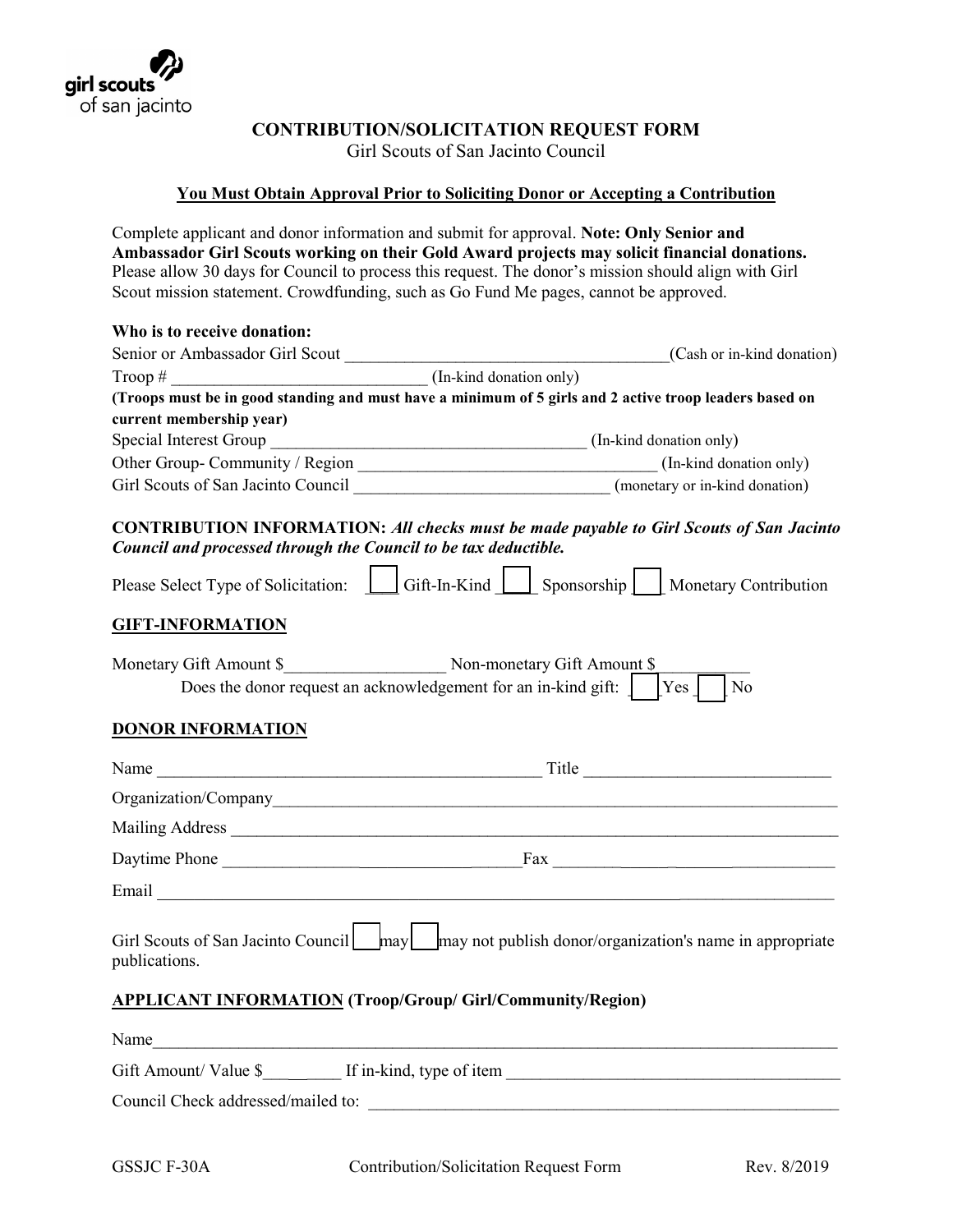

## **CONTRIBUTION/SOLICITATION REQUEST FORM**

Girl Scouts of San Jacinto Council

## **You Must Obtain Approval Prior to Soliciting Donor or Accepting a Contribution**

Complete applicant and donor information and submit for approval. **Note: Only Senior and Ambassador Girl Scouts working on their Gold Award projects may solicit financial donations.** Please allow 30 days for Council to process this request. The donor's mission should align with Girl Scout mission statement. Crowdfunding, such as Go Fund Me pages, cannot be approved.

| Who is to receive donation:        |                                                                                                                                                                                                                                |
|------------------------------------|--------------------------------------------------------------------------------------------------------------------------------------------------------------------------------------------------------------------------------|
|                                    | (Cash or in-kind donation)                                                                                                                                                                                                     |
|                                    |                                                                                                                                                                                                                                |
|                                    | (Troops must be in good standing and must have a minimum of 5 girls and 2 active troop leaders based on                                                                                                                        |
| current membership year)           |                                                                                                                                                                                                                                |
|                                    |                                                                                                                                                                                                                                |
|                                    |                                                                                                                                                                                                                                |
|                                    | Girl Scouts of San Jacinto Council __________________________________(monetary or in-kind donation)                                                                                                                            |
|                                    | <b>CONTRIBUTION INFORMATION: All checks must be made payable to Girl Scouts of San Jacinto</b><br>Council and processed through the Council to be tax deductible.                                                              |
|                                    | Please Select Type of Solicitation: Gift-In-Kind Sponsorship Monetary Contribution                                                                                                                                             |
| <b>GIFT-INFORMATION</b>            |                                                                                                                                                                                                                                |
| Monetary Gift Amount \$            | Non-monetary Gift Amount \$                                                                                                                                                                                                    |
|                                    | Does the donor request an acknowledgement for an in-kind gift: $ $ $ $ $ $ $\gamma$ es $ $<br>$\log$                                                                                                                           |
| <b>DONOR INFORMATION</b>           |                                                                                                                                                                                                                                |
|                                    |                                                                                                                                                                                                                                |
|                                    |                                                                                                                                                                                                                                |
|                                    |                                                                                                                                                                                                                                |
|                                    |                                                                                                                                                                                                                                |
|                                    | Email League and Contact the Contact of the Contact of the Contact of the Contact of the Contact of the Contact of the Contact of the Contact of the Contact of the Contact of the Contact of the Contact of the Contact of th |
| publications.                      | Girl Scouts of San Jacinto Council   may   may not publish donor/organization's name in appropriate                                                                                                                            |
|                                    | <b>APPLICANT INFORMATION (Troop/Group/ Girl/Community/Region)</b>                                                                                                                                                              |
| Name                               |                                                                                                                                                                                                                                |
|                                    | Gift Amount/Value \$ If in-kind, type of item                                                                                                                                                                                  |
| Council Check addressed/mailed to: |                                                                                                                                                                                                                                |